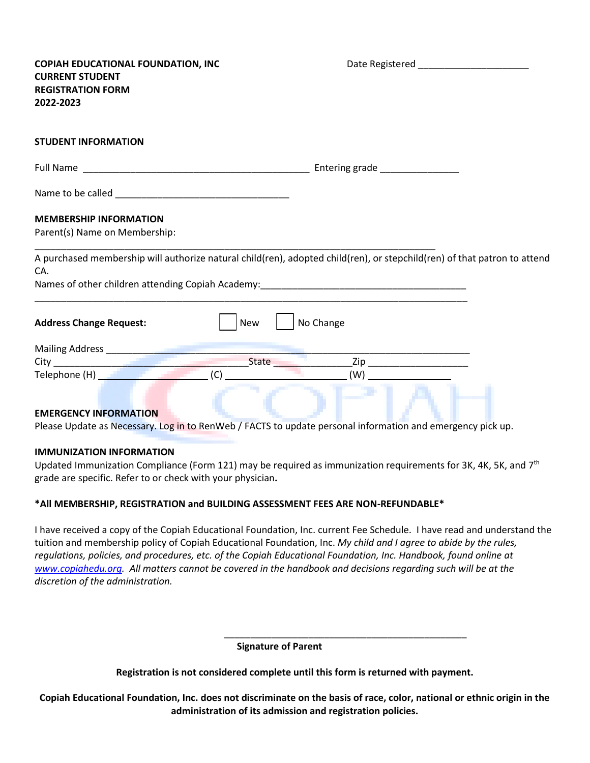| <b>COPIAH EDUCATIONAL FOUNDATION, INC</b><br><b>CURRENT STUDENT</b><br><b>REGISTRATION FORM</b><br>2022-2023 | Date Registered Management and Contract of the Basic State of the United States                                          |
|--------------------------------------------------------------------------------------------------------------|--------------------------------------------------------------------------------------------------------------------------|
| <b>STUDENT INFORMATION</b>                                                                                   |                                                                                                                          |
|                                                                                                              |                                                                                                                          |
|                                                                                                              |                                                                                                                          |
| <b>MEMBERSHIP INFORMATION</b><br>Parent(s) Name on Membership:                                               |                                                                                                                          |
| CA.<br>Names of other children attending Copiah Academy:________________________________                     | A purchased membership will authorize natural child(ren), adopted child(ren), or stepchild(ren) of that patron to attend |
| New<br><b>Address Change Request:</b>                                                                        | No Change                                                                                                                |
|                                                                                                              |                                                                                                                          |
| $\Box$ (C) $\Box$                                                                                            |                                                                                                                          |
| <b>EMERGENCY INFORMATION</b>                                                                                 |                                                                                                                          |

Please Update as Necessary. Log in to RenWeb / FACTS to update personal information and emergency pick up.

#### **IMMUNIZATION INFORMATION**

Updated Immunization Compliance (Form 121) may be required as immunization requirements for 3K, 4K, 5K, and  $7<sup>th</sup>$ grade are specific. Refer to or check with your physician**.**

#### **\*All MEMBERSHIP, REGISTRATION and BUILDING ASSESSMENT FEES ARE NON-REFUNDABLE\***

I have received a copy of the Copiah Educational Foundation, Inc. current Fee Schedule. I have read and understand the tuition and membership policy of Copiah Educational Foundation, Inc. *My child and I agree to abide by the rules, regulations, policies, and procedures, etc. of the Copiah Educational Foundation, Inc. Handbook, found online at [www.copiahedu.org.](http://www.copiahedu.org/) All matters cannot be covered in the handbook and decisions regarding such will be at the discretion of the administration.*

**Signature of Parent**

 $\overline{\phantom{a}}$  , and the contract of the contract of the contract of the contract of the contract of the contract of the contract of the contract of the contract of the contract of the contract of the contract of the contrac

**Registration is not considered complete until this form is returned with payment.**

**Copiah Educational Foundation, Inc. does not discriminate on the basis of race, color, national or ethnic origin in the administration of its admission and registration policies.**